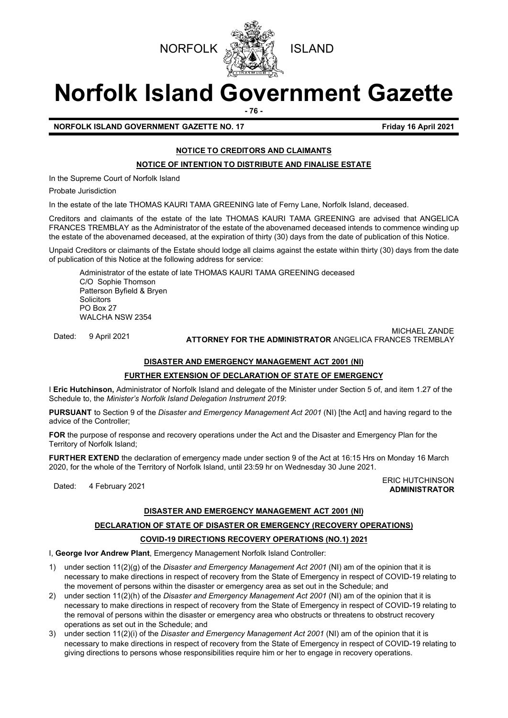



# **Norfolk Island Government Gazette**

**- 76 -**

# **NORFOLK ISLAND GOVERNMENT GAZETTE NO. 17 Friday 16 April 2021**

# **NOTICE TO CREDITORS AND CLAIMANTS**

**NOTICE OF INTENTION TO DISTRIBUTE AND FINALISE ESTATE** 

In the Supreme Court of Norfolk Island

Probate Jurisdiction

In the estate of the late THOMAS KAURI TAMA GREENING late of Ferny Lane, Norfolk Island, deceased.

Creditors and claimants of the estate of the late THOMAS KAURI TAMA GREENING are advised that ANGELICA FRANCES TREMBLAY as the Administrator of the estate of the abovenamed deceased intends to commence winding up the estate of the abovenamed deceased, at the expiration of thirty (30) days from the date of publication of this Notice.

Unpaid Creditors or claimants of the Estate should lodge all claims against the estate within thirty (30) days from the date of publication of this Notice at the following address for service:

Administrator of the estate of late THOMAS KAURI TAMA GREENING deceased C/O Sophie Thomson Patterson Byfield & Bryen **Solicitors** PO Box 27 WALCHA NSW 2354

Dated: 9 April 2021 MICHAEL ZANDE **ATTORNEY FOR THE ADMINISTRATOR** ANGELICA FRANCES TREMBLAY

# **DISASTER AND EMERGENCY MANAGEMENT ACT 2001 (NI)**

# **FURTHER EXTENSION OF DECLARATION OF STATE OF EMERGENCY**

I **Eric Hutchinson,** Administrator of Norfolk Island and delegate of the Minister under Section 5 of, and item 1.27 of the Schedule to, the *Minister's Norfolk Island Delegation Instrument 2019*:

**PURSUANT** to Section 9 of the *Disaster and Emergency Management Act 2001* (NI) [the Act] and having regard to the advice of the Controller;

**FOR** the purpose of response and recovery operations under the Act and the Disaster and Emergency Plan for the Territory of Norfolk Island;

**FURTHER EXTEND** the declaration of emergency made under section 9 of the Act at 16:15 Hrs on Monday 16 March 2020, for the whole of the Territory of Norfolk Island, until 23:59 hr on Wednesday 30 June 2021.

Dated: 4 February 2021<br>Dated: 4 February 2021 **ADMINISTRATOR**

# **DISASTER AND EMERGENCY MANAGEMENT ACT 2001 (NI)**

# **DECLARATION OF STATE OF DISASTER OR EMERGENCY (RECOVERY OPERATIONS) COVID-19 DIRECTIONS RECOVERY OPERATIONS (NO.1) 2021**

I, **George Ivor Andrew Plant**, Emergency Management Norfolk Island Controller:

- 1) under section 11(2)(g) of the *Disaster and Emergency Management Act 2001* (NI) am of the opinion that it is necessary to make directions in respect of recovery from the State of Emergency in respect of COVID-19 relating to the movement of persons within the disaster or emergency area as set out in the Schedule; and
- 2) under section 11(2)(h) of the *Disaster and Emergency Management Act 2001* (NI) am of the opinion that it is necessary to make directions in respect of recovery from the State of Emergency in respect of COVID-19 relating to the removal of persons within the disaster or emergency area who obstructs or threatens to obstruct recovery operations as set out in the Schedule; and
- 3) under section 11(2)(i) of the *Disaster and Emergency Management Act 2001* (NI) am of the opinion that it is necessary to make directions in respect of recovery from the State of Emergency in respect of COVID-19 relating to giving directions to persons whose responsibilities require him or her to engage in recovery operations.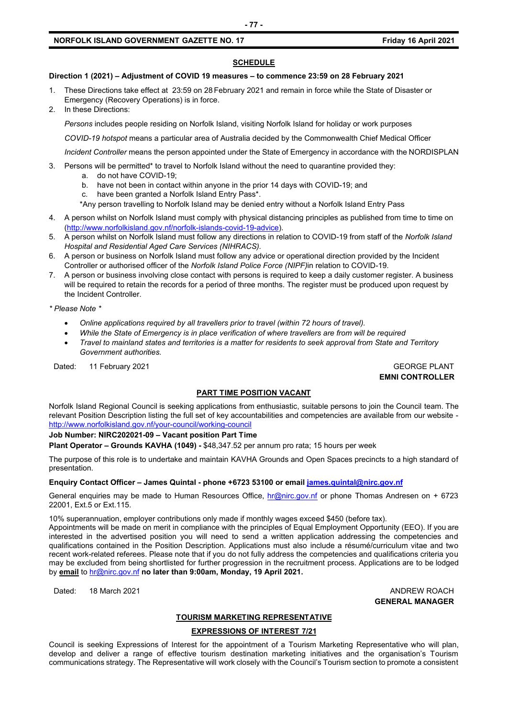## **NORFOLK ISLAND GOVERNMENT GAZETTE NO. 17 Friday 16 April 2021**

#### **SCHEDULE**

#### **Direction 1 (2021) – Adjustment of COVID 19 measures – to commence 23:59 on 28 February 2021**

- 1. These Directions take effect at 23:59 on 28 February 2021 and remain in force while the State of Disaster or Emergency (Recovery Operations) is in force.
- 2. In these Directions:

*Persons* includes people residing on Norfolk Island, visiting Norfolk Island for holiday or work purposes

*COVID-19 hotspot* means a particular area of Australia decided by the Commonwealth Chief Medical Officer

*Incident Controller* means the person appointed under the State of Emergency in accordance with the NORDISPLAN

- 3. Persons will be permitted\* to travel to Norfolk Island without the need to quarantine provided they:
	- a. do not have COVID-19;
	- b. have not been in contact within anyone in the prior 14 days with COVID-19; and
	- c. have been granted a Norfolk Island Entry Pass\*.
	- \*Any person travelling to Norfolk Island may be denied entry without a Norfolk Island Entry Pass
- 4. A person whilst on Norfolk Island must comply with physical distancing principles as published from time to time on [\(http://www.norfolkisland.gov.nf/norfolk-islands-covid-19-advice\)](http://www.norfolkisland.gov.nf/norfolk-islands-covid-19-advice).
- 5. A person whilst on Norfolk Island must follow any directions in relation to COVID-19 from staff of the *Norfolk Island Hospital and Residential Aged Care Services (NIHRACS).*
- 6. A person or business on Norfolk Island must follow any advice or operational direction provided by the Incident Controller or authorised officer of the *Norfolk Island Police Force (NIPF)*in relation to COVID-19.
- 7. A person or business involving close contact with persons is required to keep a daily customer register. A business will be required to retain the records for a period of three months. The register must be produced upon request by the Incident Controller.

*\* Please Note \** 

- *Online applications required by all travellers prior to travel (within 72 hours of travel).*
- *While the State of Emergency is in place verification of where travellers are from will be required*
- *Travel to mainland states and territories is a matter for residents to seek approval from State and Territory Government authorities.*

Dated: 11 February 2021 GEORGE PLANT

**EMNI CONTROLLER**

#### **PART TIME POSITION VACANT**

Norfolk Island Regional Council is seeking applications from enthusiastic, suitable persons to join the Council team. The relevant Position Description listing the full set of key accountabilities and competencies are available from our website <http://www.norfolkisland.gov.nf/your-council/working-council>

#### **Job Number: NIRC202021-09 – Vacant position Part Time**

**Plant Operator – Grounds KAVHA (1049) -** \$48,347.52 per annum pro rata; 15 hours per week

The purpose of this role is to undertake and maintain KAVHA Grounds and Open Spaces precincts to a high standard of presentation.

#### **Enquiry Contact Officer – James Quintal - phone +6723 53100 or email [james.quintal@nirc.gov.nf](mailto:james.quintal@nirc.gov.nf)**

General enquiries may be made to Human Resources Office, [hr@nirc.gov.nf](mailto:hr@nirc.gov.nf) or phone Thomas Andresen on + 6723 22001, Ext.5 or Ext.115.

10% superannuation, employer contributions only made if monthly wages exceed \$450 (before tax).

Appointments will be made on merit in compliance with the principles of Equal Employment Opportunity (EEO). If you are interested in the advertised position you will need to send a written application addressing the competencies and qualifications contained in the Position Description. Applications must also include a résumé/curriculum vitae and two recent work-related referees. Please note that if you do not fully address the competencies and qualifications criteria you may be excluded from being shortlisted for further progression in the recruitment process. Applications are to be lodged by **email** to [hr@nirc.gov.nf](mailto:hr@nirc.gov.nf) **no later than 9:00am, Monday, 19 April 2021.** 

Dated: 18 March 2021 **ANDREW ROACH GENERAL MANAGER**

#### **TOURISM MARKETING REPRESENTATIVE**

#### **EXPRESSIONS OF INTEREST 7/21**

Council is seeking Expressions of Interest for the appointment of a Tourism Marketing Representative who will plan, develop and deliver a range of effective tourism destination marketing initiatives and the organisation's Tourism communications strategy. The Representative will work closely with the Council's Tourism section to promote a consistent